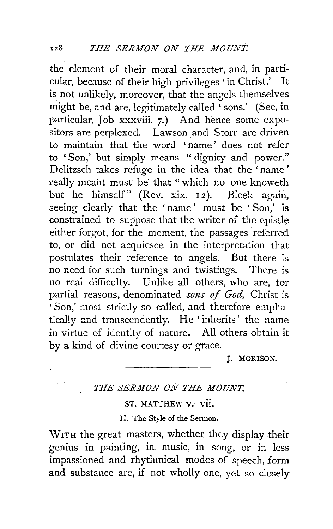the element of their moral character, and, in particular, because of their high privileges 'in Christ.' It is not unlikely, moreover, that the angels themselves might be, and are, legitimately called 'sons.' (See, in particular, Job xxxviii. 7.) And hence some expositors are perplexed. Lawson and Storr are driven to maintain that the word 'name' does not refer to 'Son,' but simply means " dignity and power." Delitzsch takes refuge in the idea that the ' name ' really meant must be that " which no one knoweth but he himself" (Rev. xix. 12). Bleek again, seeing clearly that the ' name' must be ' Son,' is constrained to suppose that the writer of the epistle either forgot, for the moment, the passages referred to, or did not acquiesce in the interpretation that postulates their reference to angels. But there is no need for such turnings and twistings. There is no real difficulty. Unlike all others, who are, for partial reasons, denominated *sons of God*, Christ is 'Son,' most strictly so called, and therefore emphatically and transcendently. He 'inherits' the name in virtue of identity of nature. All others obtain it by a kind of divine courtesy or grace.

**J. MORISON.** 

## *THE SERMON ON THE MOUNT.*

ST. MATTHEW V.-vii.

II, The Style of the Sermon.

WITH the great masters, whether they display their genius in painting, in music, in song, or in less impassioned and rhythmical modes of speech, form and substance are, if not wholly one, yet so closely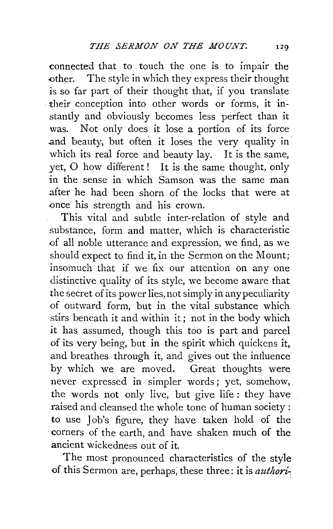connected that to touch the one is to impair the .other. The style in which they express their thought is so far part of their thought that, if you translate . their conception into other words or forms, it instantly and obviously becomes less perfect than it was. Not only does it lose a portion of its force and beauty, but often it loses the very quality in which its real force and beauty lay. It is the same, yet, 0 how different! It is the same thought, only in the sense in which Samson was the same man after he had been shorn of the locks that were at once his strength and his crown.

This vital and subtle inter-relation of style and substance, form and matter, which is characteristic .of all noble utterance and expression, we find, as we should expect to find it, in the Sermon on the Mount; insomuch that if we fix our attention on any one distinctive quality of its style, we become aware that the secret of its power lies, not simply in any peculiarity of outward form, but in the vital substance which stirs beneath it and within it; not in the body which it has assumed, though this too is part and parcel of its very being, but in the spirit which quickens it, and breathes through it, and gives out the intluence by which we are moved. Great thoughts were never expressed in simpler words; yet, somehow, the words not only live, but give life : they have raised and cleansed the whole tone of human society : to use Job's figure, they have taken hold of the corners of the earth, and have shaken much of the ancient wickedness out of it.

The most pronounced characteristics of the style of this Sermon are, perhaps; these three: it is *authori-.*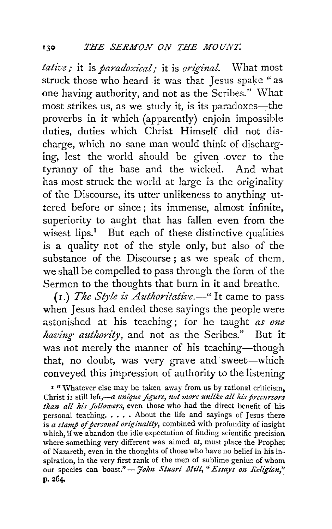*tative;* it is *paradoxical;* it is *original.* What most struck those who heard it was that Jesus spake "as one having authority, and not as the Scribes." What most strikes us, as we study it, is its paradoxes-the proverbs in it which (apparently) enjoin impossible duties, duties which Christ Himself did not discharge, which no sane man would think of discharging, lest the world should be given over to the tyranny of the base and the wicked. And what has most struck the world at large is the originality of the Discourse, its utter unlikeness to anything uttered before or since; its immense, almost infinite, superiority to aught that has fallen even from the wisest  $lips.$ <sup>1</sup> But each of these distinctive qualities is a quality not of the style only, but also of the substance of the Discourse ; as we speak of them, we shall be compelled to pass through the form of the Sermon to the thoughts that burn in it and breathe.

( r.) *The Style is Authoritative.-"* It came to pass when Jesus had ended these sayings the people were astonished at his teaching; for he taught *as one having authority,* and not as the Scribes." But it was not merely the manner of his teaching-though that, no doubt, was very grave and sweet-which conveyed this impression of authority to the listening

<sup>1</sup> "Whatever else may be taken away from us by rational criticism, Christ is still left,-a *unique figure*, not more unlike all his precursors *than all his followers,* even those who had the direct benefit of his personal teaching.  $\ldots$ . About the life and sayings of Jesus there is *a stamp* of *personal originality,* combined with profundity of insight which, if we abandon the idle expectation of finding scientific precision where something very different was aimed at, must place the Prophet of Nazareth, even in the thoughts of those who have no belief in his inspiration, in the very first rank of the men of sublime genius of whom our species can boast." — *John Stuart Mill*, "*Essays on Religion*,"<br>p. 264.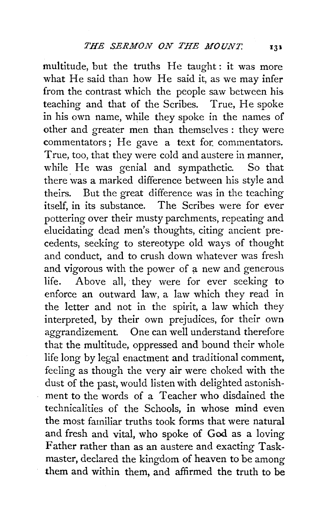multitude, but the truths He taught : it was more what He said than how He said it, as we may infer from the contrast which the people saw between his teaching and that of the Scribes. True, He spoke in his own name, while they spoke in the names of other and greater men than themselves: they were commentators; He gave a text for commentators. True, too, that they were cold and austere in manner, while He was genial and sympathetic. So that there was a marked difference between his style and theirs. But the great difference was in the teaching itself, in its substance. The Scribes were for ever pottering over their musty parchments, repeating and elucidating dead men's thoughts, citing ancient precedents, seeking to stereotype old ways of thought and conduct, and to crush down whatever was fresh and vigorous with the power of a new and generous life. Above all, they were for ever seeking to enforce an outward law, a law which they read in the letter and not in the spirit, a law which they interpreted, by their own prejudices, for their own aggrandizement. One can well understand therefore that the multitude, oppressed and bound their whole life long by legal enactment and traditional comment. feeling as though the very air were choked with the dust of the past, would listen with delighted astonishment to the words of a Teacher who disdained the technicalities of the Schools, in whose mind even the most familiar truths took forms that were natural and fresh and vital, who spoke of God as a loving Father rather than as an austere and exacting Taskmaster, declared the kingdom of heaven to be among them and within them, and affirmed the truth to be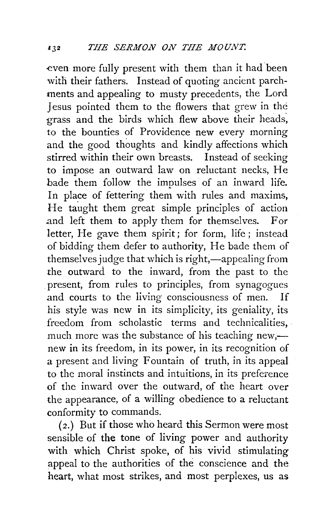even more fully present with them than it had been with their fathers. Instead of quoting ancient parchments and appealing to musty precedents, the Lord Jesus pointed them to the flowers that grew in the grass and the birds which flew above their heads, to the bounties of Providence new every morning and the good thoughts and kindly affections which<br>stirred within their own breasts. Instead of seeking stirred within their own breasts. to impose an outward law on reluctant necks, He bade them follow the impulses of an inward life. In place of fettering them with rules and maxims, He taught them great simple principles of action and left them to apply them for themselves. For letter, He gave them spirit; for form, life ; instead of bidding them defer to authority, He bade them of themselves judge that which is right,—appealing from the outward to the inward, from the past to the present, from rules to principles, from synagogues and courts to the living consciousness of men. If his style was new in its simplicity, its geniality, its freedom from scholastic terms and technicalities, much more was the substance of his teaching new,—new in its freedom, in its power, in its recognition of a present and living Fountain of truth, in its appeal to the moral instincts and intuitions, in its preference of the inward over the outward, of the heart over the appearance, of a willing obedience to a reluctant conformity to commands.

( 2.) But if those who heard this Sermon were most sensible of **the** tone of living power and authority with which Christ spoke, of his vivid stimulating appeal to the authorities of the conscience and the heart, what most strikes, and most perplexes, us as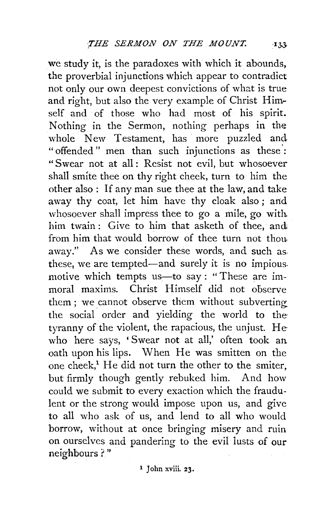we study it, is the paradoxes with which it abounds, the proverbial injunctions which appear to contradict not only our own deepest convictions of what is true and right, but also the very example of Christ Himself and of those who had most of his spirit. Nothing in the Sermon, nothing perhaps in the whole New Testament, has more puzzled and "offended" men than such injunctions as these·: "Swear not at all: Resist not evil, but whosoever shall smite thee on thy right cheek, turn to him the other also : If any man sue thee at the law, and take away thy coat, let him have thy cloak also; and whosoever shall impress thee to go a mile, go with. him twain: Give to him that asketh of thee, and from him that would borrow of thee turn not thou. away." As we consider these words, and such as these, we are tempted-and surely it is no impious. motive which tempts us-to say: "These are immoral maxims. Christ Himself did not observe them ; we cannot observe them without subverting the social order and yielding the world to thetyranny of the violent, the rapacious, the unjust. Hewho here says, 'Swear not at all,' often took an. oath upon his lips. When He was smitten on the one cheek,<sup>1</sup> He did not turn the other to the smiter. but firmly though gently rebuked him. And how could we submit to every exaction which the fraudulent or the strong would impose upon us, and give to all who ask of us, and lend to all who would borrow, without at once bringing misery and ruin on ourselves and pandering to the evil lusts of our neighbours ? "

i John xviii. 23.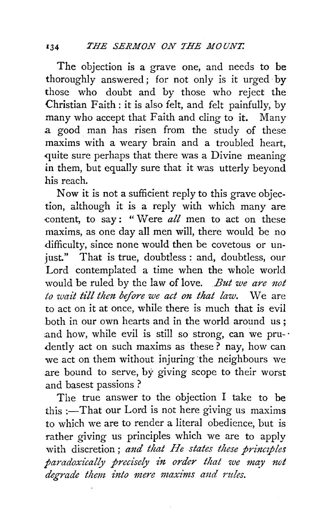The objection is a grave one, and needs to be thoroughly answered ; for not only is it urged· by those who doubt and by those who reject the Christian Faith : it is also felt, and felt painfully, by many who accept that Faith and cling to it. Many a. good man has risen from the study of these maxims with a weary brain and a troubled heart, quite sure perhaps that there was a Divine meaning in them, but equally sure that it was utterly beyond his reach.

Now it is not a sufficient reply to this grave objection, although it is a reply with which many are content, to say: "Were *all* men to act on these maxims, as one day all men will, there would be no difficulty, since none would then be covetous or un just." That is true, doubtless : and, doubtless, our Lord contemplated a time when the whole world would be ruled by the law of love. *But we are not to wait till then before we act on that law.* We are to act on it at once, while there is much that is evil both in our own hearts and in the world around us ; and how, while evil is still so strong, can we pru- $\cdot$ dently act on such maxims as these? nay, how can we act on them without injuring the neighbours we are bound to serve, by giving scope to their worst and basest passions ?

The true answer to the objection I take to be this : $-T$ hat our Lord is not here giving us maxims to which we are to render a literal obedience, but is rather giving us principles which we are to apply with discretion; and that He states these principles *paradoxically precisely in order that we may not degrade them into mere maxz'nzs a11d 1'ttles.*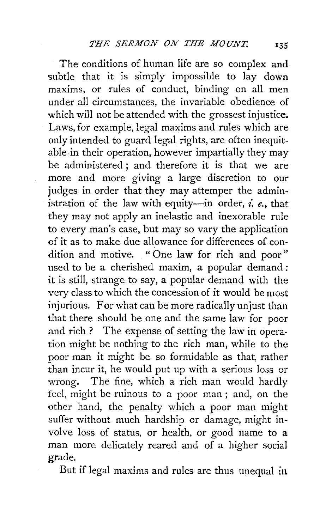The conditions of human life are so complex and subtle that it is simply impossible to lay down maxims, or rules of conduct, binding on all men under all circumstances, the invariable obedience of which will not be attended with the grossest injustice. Laws, for example, legal maxims and rules which are only intended to guard legal rights, are often inequitable in their operation, however impartially they may be administered ; and therefore it is that we are more and more giving a large discretion to our judges in order that they may attemper the administration of the law with equity-in order, *i. e.*, that they may not apply an inelastic and inexorable rule to every man's case, but may so vary the application of it as to make due allowance for differences of condition and motive. " One law for rich and poor" used to be a cherished maxim, a popular demand *:*  it is still, strange to say, a popular demand with the very class to which the concession of it would be most injurious. For what can be more radically unjust than that there should be one and the same law for poor and rich ? The expense of setting the law in operation might be nothing to the rich man, while to the poor man it might be so formidable as that, rather than incur it, he would put up with a serious loss or wrong. The fine, which a rich man would hardly feel, might be ruinous to a *poor* man ; and, on the other hand, the penalty which a poor man might suffer without much hardship or damage, might involve loss of status, or health, or good name to a man more delicately reared and of a higher social grade.

But if legal maxims and rules are thus unequal in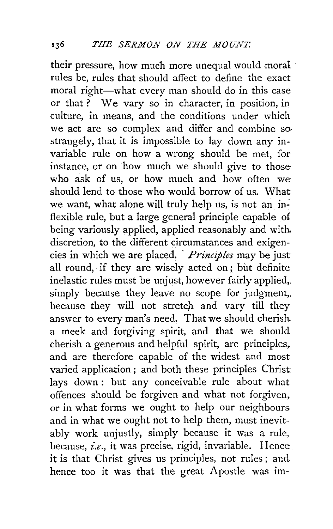their pressure, how much more unequal would moral · rules be, rules that should affect to define the exact moral right-what every man should do in this case or that ? We vary so in character, in position, in· culture, in means, and the conditions under which we act are so complex and differ and combine so. strangely, that it is impossible to lay down any invariable rule on how a wrong should be met, for instance, or on how much we should give to those who ask of us, or how much and how often we should lend to those who would borrow of us. What we want, what alone will truly help us, is not an inflexible rule, but a large general principle capable of being variously applied, applied reasonably and with. discretion, to the different circumstances and exigencies in which we are placed. · *Principles* may be just all round, if they are wisely acted on; but definite inelastic rules must be unjust, however fairly applied,. simply because they leave no scope for judgment, because they will not stretch and vary till they answer to every man's need. That we should cherish. a meek and forgiving spirit, and that we should cherish a generous and helpful spirit, are principles,. and are therefore capable of the widest and most varied application ; and both these principles Christ lays down: but any conceivable rule about what offences should be forgiven and what not forgiven, or in what forms we ought to help our neighbours. and in what we ought not to help them, must inevitably work unjustly, simply because it was a rule, because, *i.e.,* it was precise, rigid, invariable. Hence it is that Christ gives us principles, not rules; and hence too it was that the great Apostle was im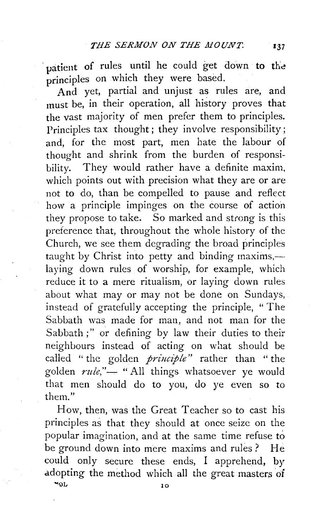patient of rules until he could get down to the principles on which they were based.

And yet, partial and unjust as rules are, and must be, in their operation, all history proves that the vast majority of men prefer them to principles. Principles tax thought; they involve responsibility; and, for the most part, men hate the labour of thought and shrink from the burden of responsibility. They would rather have a definite maxim, which points out with precision what they are or are not to do, than be compelled to pause and reflect how a principle impinges on the course of action they propose to take. So marked and strong is this preference that, throughout the whole history of the Church, we see them degrading the broad principles taught by Christ into petty and binding maxims, $$ laying down rules of worship, for example, which reduce it to a mere ritualism, or laying down rules about what may or may not be done on Sundays, instead of gratefully accepting the principle, " The Sabbath was made for man, and not man for the Sabbath;" or defining by law their duties to their neighbours instead of acting on what should be called " the golden *principle"* rather than " the golden  $rule$ ," $-$  "All things whatsoever ye would that men should do to you, do ye even so to them."

How, then, was the Great Teacher so to cast his principles as that they should at once seize on the popular imagination, and at the same time refuse to be ground down into mere maxims and rules? He could only secure these ends, I apprehend, by adopting the method which all the great master\_s *oi*  '"JL 10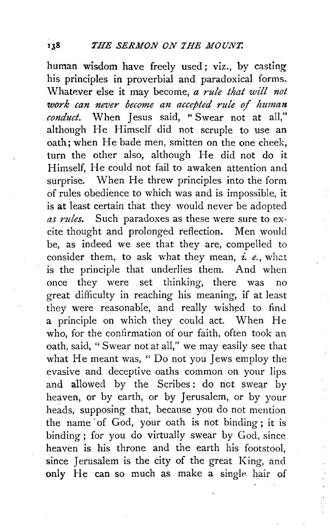human wisdom have freely used; viz., by casting his principles in proverbial and paradoxical forms. Whatever else it may become, *a rule that will not work can never become an accepted rule of human conduct.* When Jesus said, " Swear not at all," although He Himself did not scruple to use an oath; when He bade men, smitten on the one cheek, turn the other also, although He did not do it Himself, He could not fail to awaken attention and surprise. When He threw principles into the form of rules obedience to which was and is impossible, it is **at** least certain that they would never be adopted *as rules.* Such paradoxes as these were sure to excite thought and prolonged reflection. Men would be, as indeed we see that they are, compelled to consider them, to ask what they mean, *i. e.*, what is the principle that underlies them. And when once they were set thinking, there was no great difficulty in reaching his meaning, if at least they were reasonable, and really wished to find a principle on which they could act. When He who, for the confirmation of our faith, often took an oath, said, "Swear not at all," we may easily see that what He meant was, " Do not you Jews employ the evasive and deceptive oaths common on your lips and allowed by the Scribes: do not swear by heaven, or by earth, or by Jerusalem, or by your heads, supposing that, because you do not mention the name of God, your oath is not binding; it is binding; for you do virtually swear by God, since heaven is his throne and the earth his footstool, since Jerusalem is the city of the great King, and only He can so much as make a single hair of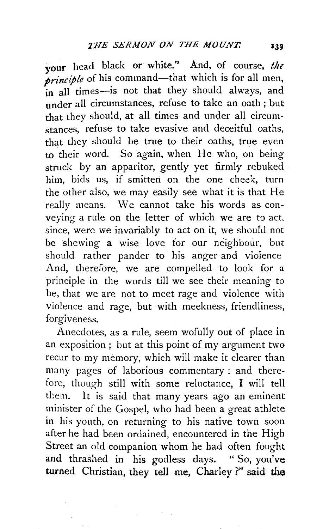your head black or white." And, of course, *the principle* of his command—that which is for all men, in all times--is not that they should always, and under all circumstances, refuse to take an oath ; but that they should, at all times and under all circumstances, refuse to take evasive and deceitful oaths, that they should be true to their oaths, true even to their word. So again, when He who, on being struck by an apparitor, gently yet firmly rebuked him, bids us, if smitten on the one cheek, turn the other aiso, we may easily see what it is that He really means. We cannot take his words as conveying a rule on the letter of which we are to act, since, were we invariably to act on it, we should not be shewing a wise love for our neighbour, but should rather pander to his anger and violence And, therefore, we are compelled to look for a principle in the words till we see their meaning to be, that we are not to meet rage and violence with violence and rage, but with meekness, friendliness, forgiveness.

Anecdotes, as a rule, seem wofully out of place in an exposition; but at this point of my argument two recur to my memory, which will make it clearer than many pages of laborious commentary: and therefore, though still with some reluctance, I will tell them. It is said that many years ago an eminent minister of the Gospel, who had been a great athlete in his youth, on returning to his native town soon after he had been ordained, encountered in the High Street an old companion whom he had often fought and thrashed in his godless days. " So, you've turned Christian, they tell me, Charley ?" said the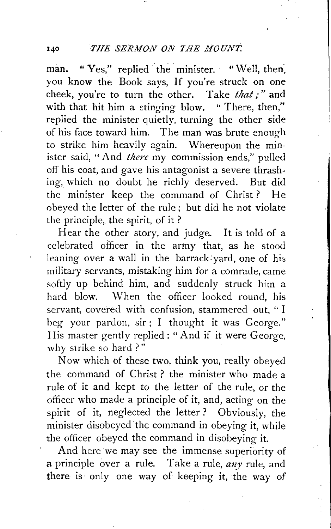man. " Yes," replied the minister. " Well, then, you know the Book says, If you're struck on one cheek, you're to turn the other. Take that;" and with that hit him a stinging blow. "There, then," replied the minister quietly, turning the other side of his face toward him. The man was brute enough to strike him heavily again. Whereupon the minister said, "And *there* my commission ends," pulled off his coat, and gave his antagonist a severe thrashing, which no doubt he richly deserved. But did the minister keep the command of Christ? He obeyed the letter of the rule ; but did he not violate the principle, the spirit, of it ?

Hear the other story, and judge. It is told of a celebrated officer in the army that, as he stood leaning over a wall in the barrack-yard, one of his military servants, mistaking him for a comrade, came softly up behind him, and suddenly struck him a hard blow. When the officer looked round, his servant, covered with confusion, stammered out, " I beg your pardon, sir ; I thought it was George." His master gently replied: "And if it were George, why strike so hard?"

Now which of these two, think you, really obeyed the command of Christ? the minister who made a rule of it and kept to the letter of the rule, or the officer who made a principle of it, and, acting on the spirit of it, neglected the letter ? Obviously, the minister disobeyed the command in obeying it, while the officer obeyed the command in disobeying it.

And here we may see the immense superiority of a principle over a rule. Take a rule, *any* rule, and there is only one way of keeping it, the way of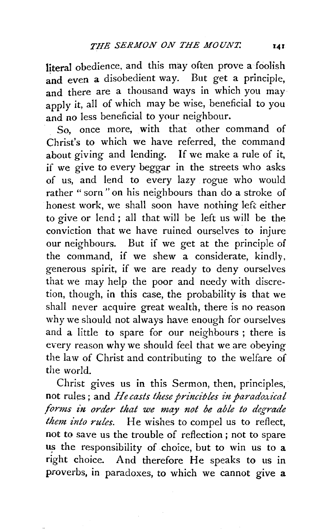literal obedience, and this may often prove a foolish and even a disobedient way. But get a principle, and there are a thousand ways in which you may apply it, all of which may be wise, beneficial to you and no less beneficial to your neighbour.

So, once more, with that other command of Christ's to which we have referred, the command about giving and lending. If we make a rule of it, if we give to every beggar in the streets who asks of us, and lend to every lazy rogue who would rather "sorn" on his neighbours than do a stroke of honest work, we shall soon have nothing left either to give or lend ; all that will be left us will be the conviction that we have ruined ourselves to injure our neighbours. But if we get at the principle of the command, if we shew a considerate, kindly, generous spirit, if we are ready to deny ourselves that we may help the poor and needy with discretion, though, in this case, the probability is that we shall never acquire great wealth, there is no reason why we should not always have enough for ourselves and a little to spare for our neighbours ; there is every reason why we should feel that we are obeying the law of Christ and contributing to the welfare of the world.

Christ gives us in this Sermon, then, principles, not rules; and *He casts these princibles in paradoxical forms in order that we may not be able to degrade them into rules.* He wishes to compel us to reflect, not to save us the trouble of reflection ; not to spare us the responsibility of choice, but to win us to a right choice. And therefore He speaks to us in proverbs, in paradoxes, to which we cannot give a